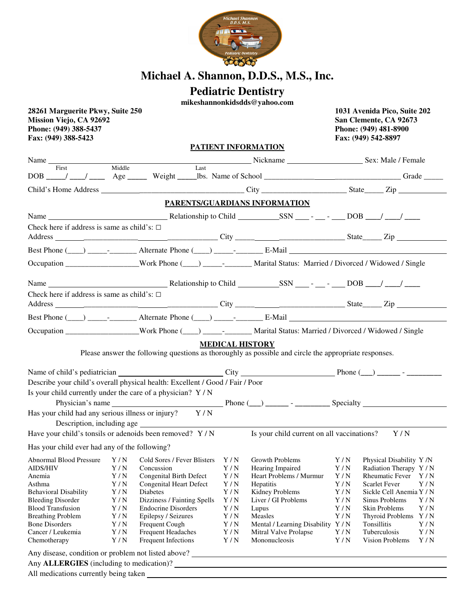

## **Michael A. Shannon, D.D.S., M.S., Inc.**

## **Pediatric Dentistry**

**mikeshannonkidsdds@yahoo.com** 

| 28261 Marguerite Pkwy, Suite 250<br><b>Mission Viejo, CA 92692</b><br>Phone: (949) 388-5437<br>Fax: (949) 388-5423 |            |                                                                               |            |                                                                                                                                 |            | 1031 Avenida Pico, Suite 202<br>San Clemente, CA 92673<br>Phone: (949) 481-8900<br>Fax: (949) 542-8897 |  |
|--------------------------------------------------------------------------------------------------------------------|------------|-------------------------------------------------------------------------------|------------|---------------------------------------------------------------------------------------------------------------------------------|------------|--------------------------------------------------------------------------------------------------------|--|
|                                                                                                                    |            |                                                                               |            | PATIENT INFORMATION                                                                                                             |            |                                                                                                        |  |
| Name                                                                                                               |            |                                                                               |            | <b>Example 2018</b> Sex: Male / Female                                                                                          |            |                                                                                                        |  |
| First                                                                                                              | Middle     | Last                                                                          |            | DOB ____/ ___/ ____ Age _____ Weight ____lbs. Name of School ____________________________Grade _____                            |            |                                                                                                        |  |
|                                                                                                                    |            |                                                                               |            |                                                                                                                                 |            |                                                                                                        |  |
|                                                                                                                    |            |                                                                               |            |                                                                                                                                 |            |                                                                                                        |  |
|                                                                                                                    |            |                                                                               |            | PARENTS/GUARDIANS INFORMATION                                                                                                   |            |                                                                                                        |  |
|                                                                                                                    |            |                                                                               |            |                                                                                                                                 |            |                                                                                                        |  |
| Check here if address is same as child's: $\Box$                                                                   |            |                                                                               |            |                                                                                                                                 |            |                                                                                                        |  |
|                                                                                                                    |            |                                                                               |            |                                                                                                                                 |            |                                                                                                        |  |
|                                                                                                                    |            |                                                                               |            | Best Phone $(\_\_)$ $_\_$ - $_\_$ Alternate Phone $(\_\_)$ $_\_$ - $_\_$ E-Mail                                                 |            |                                                                                                        |  |
|                                                                                                                    |            |                                                                               |            | Occupation _________________Work Phone (___) ______- _______ Marital Status: Married / Divorced / Widowed / Single              |            |                                                                                                        |  |
|                                                                                                                    |            |                                                                               |            |                                                                                                                                 |            |                                                                                                        |  |
| Check here if address is same as child's: $\square$                                                                |            |                                                                               |            |                                                                                                                                 |            |                                                                                                        |  |
|                                                                                                                    |            |                                                                               |            |                                                                                                                                 |            |                                                                                                        |  |
|                                                                                                                    |            |                                                                               |            |                                                                                                                                 |            |                                                                                                        |  |
|                                                                                                                    |            |                                                                               |            | Occupation _______________Work Phone (___) ____________Marital Status: Married / Divorced / Widowed / Single                    |            |                                                                                                        |  |
|                                                                                                                    |            |                                                                               |            |                                                                                                                                 |            |                                                                                                        |  |
|                                                                                                                    |            |                                                                               |            | <b>MEDICAL HISTORY</b><br>Please answer the following questions as thoroughly as possible and circle the appropriate responses. |            |                                                                                                        |  |
|                                                                                                                    |            |                                                                               |            |                                                                                                                                 |            |                                                                                                        |  |
|                                                                                                                    |            |                                                                               |            |                                                                                                                                 |            |                                                                                                        |  |
|                                                                                                                    |            | Describe your child's overall physical health: Excellent / Good / Fair / Poor |            |                                                                                                                                 |            |                                                                                                        |  |
| Is your child currently under the care of a physician? Y/N                                                         |            |                                                                               |            |                                                                                                                                 |            |                                                                                                        |  |
| Has your child had any serious illness or injury? Y/N                                                              |            |                                                                               |            |                                                                                                                                 |            |                                                                                                        |  |
|                                                                                                                    |            |                                                                               |            |                                                                                                                                 |            |                                                                                                        |  |
|                                                                                                                    |            |                                                                               |            | Have your child's tonsils or adenoids been removed? $Y/N$ Is your child current on all vaccinations?                            |            | Y/N                                                                                                    |  |
| Has your child ever had any of the following?                                                                      |            |                                                                               |            |                                                                                                                                 |            |                                                                                                        |  |
| Abnormal Blood Pressure                                                                                            | Y/N        | Cold Sores / Fever Blisters                                                   | Y/N        | Growth Problems                                                                                                                 | Y/N        | Physical Disability Y/N                                                                                |  |
| <b>AIDS/HIV</b>                                                                                                    | Y/N        | Concussion                                                                    | Y/N        | Hearing Impaired                                                                                                                | Y/N        | Radiation Therapy Y / N                                                                                |  |
| Anemia                                                                                                             | Y/N        | Congenital Birth Defect                                                       | Y/N        | Heart Problems / Murmur                                                                                                         | Y/N        | Rheumatic Fever<br>Y/N                                                                                 |  |
| Asthma                                                                                                             | Y/N        | <b>Congenital Heart Defect</b>                                                | Y/N        | Hepatitis                                                                                                                       | Y/N        | <b>Scarlet Fever</b><br>Y/N                                                                            |  |
| <b>Behavioral Disability</b>                                                                                       | Y/N        | Diabetes                                                                      | Y/N        | Kidney Problems                                                                                                                 | Y/N        | Sickle Cell Anemia Y / N                                                                               |  |
| <b>Bleeding Disorder</b>                                                                                           | Y/N        | Dizziness / Fainting Spells                                                   | Y/N        | Liver / GI Problems                                                                                                             | Y/N        | Sinus Problems<br>Y/N                                                                                  |  |
| <b>Blood Transfusion</b>                                                                                           | Y/N        | <b>Endocrine Disorders</b>                                                    | Y/N        | Lupus                                                                                                                           | Y/N        | Skin Problems<br>Y/N                                                                                   |  |
| <b>Breathing Problem</b>                                                                                           | Y/N        | Epilepsy / Seizures                                                           | Y/N        | Measles                                                                                                                         | Y/N        | Y/N<br>Thyroid Problems                                                                                |  |
| <b>Bone Disorders</b><br>Cancer / Leukemia                                                                         | Y/N        | Frequent Cough                                                                | Y/N        | Mental / Learning Disability Y / N                                                                                              |            | Tonsillitis<br>Y/N<br>Tuberculosis                                                                     |  |
| Chemotherapy                                                                                                       | Y/N<br>Y/N | <b>Frequent Headaches</b><br>Frequent Infections                              | Y/N<br>Y/N | Mitral Valve Prolapse<br>Mononucleosis                                                                                          | Y/N<br>Y/N | Y/N<br>Vision Problems<br>Y/N                                                                          |  |
|                                                                                                                    |            |                                                                               |            | Any disease, condition or problem not listed above? _____________________________                                               |            |                                                                                                        |  |
|                                                                                                                    |            |                                                                               |            |                                                                                                                                 |            |                                                                                                        |  |
|                                                                                                                    |            |                                                                               |            |                                                                                                                                 |            |                                                                                                        |  |